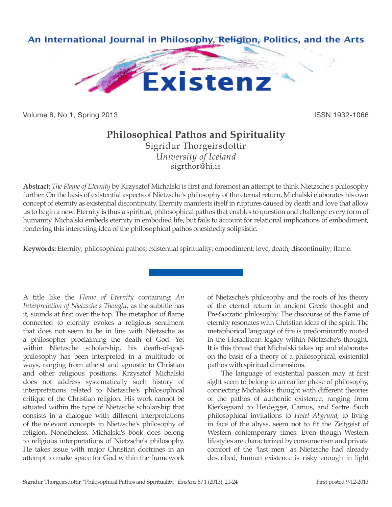

Volume 8, No 1, Spring 2013 **ISSN 1932-1066** ISSN 1932-1066

## **Philosophical Pathos and Spirituality**

Sigridur Thorgeirsdottir *University of Iceland* sigrthor@hi.is

**Abstract:** *The Flame of Eternity* by Krzysztof Michalski is first and foremost an attempt to think Nietzsche's philosophy further. On the basis of existential aspects of Nietzsche's philosophy of the eternal return, Michalski elaborates his own concept of eternity as existential discontinuity. Eternity manifests itself in ruptures caused by death and love that allow us to begin a new. Eternity is thus a spiritual, philosophical pathos that enables to question and challenge every form of humanity. Michalski embeds eternity in embodied life, but fails to account for relational implications of embodiment, rendering this interesting idea of the philosophical pathos onesidedly solipsistic.

**Keywords:** Eternity; philosophical pathos; existential spirituality; embodiment; love, death; discontinuity; flame.

A title like the *Flame of Eternity* containing *An Interpretation of Nietzsche's Thought*, as the subtitle has it, sounds at first over the top. The metaphor of flame connected to eternity evokes a religious sentiment that does not seem to be in line with Nietzsche as a philosopher proclaiming the death of God. Yet within Nietzsche scholarship, his death-of-godphilosophy has been interpreted in a multitude of ways, ranging from atheist and agnostic to Christian and other religious positions. Krzysztof Michalski does not address systematically such history of interpretations related to Nietzsche's philosophical critique of the Christian religion. His work cannot be situated within the type of Nietzsche scholarship that consists in a dialogue with different interpretations of the relevant concepts in Nietzsche's philosophy of religion. Nonetheless, Michalski's book does belong to religious interpretations of Nietzsche's philosophy. He takes issue with major Christian doctrines in an attempt to make space for God within the framework

of Nietzsche's philosophy and the roots of his theory of the eternal return in ancient Greek thought and Pre-Socratic philosophy. The discourse of the flame of eternity resonates with Christian ideas of the spirit. The metaphorical language of fire is predominantly rooted in the Heraclitean legacy within Nietzsche's thought. It is this thread that Michalski takes up and elaborates on the basis of a theory of a philosophical, existential pathos with spiritual dimensions.

The language of existential passion may at first sight seem to belong to an earlier phase of philosophy, connecting Michalski's thought with different theories of the pathos of authentic existence, ranging from Kierkegaard to Heidegger, Camus, and Sartre. Such philosophical invitations to *Hotel Abgrund*, to living in face of the abyss, seem not to fit the Zeitgeist of Western contemporary times. Even though Western lifestyles are characterized by consumerism and private comfort of the "last men" as Nietzsche had already described, human existence is risky enough in light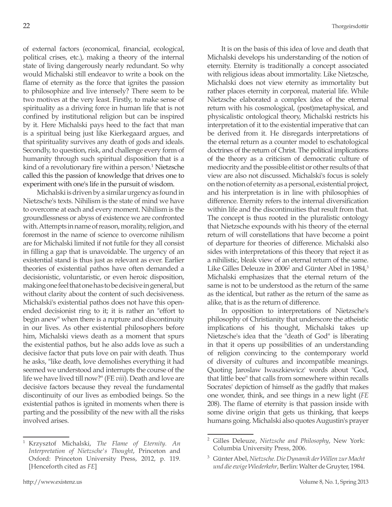of external factors (economical, financial, ecological, political crises, etc.), making a theory of the internal state of living dangerously nearly redundant. So why would Michalski still endeavor to write a book on the flame of eternity as the force that ignites the passion to philosophize and live intensely? There seem to be two motives at the very least. Firstly, to make sense of spirituality as a driving force in human life that is not confined by institutional religion but can be inspired by it. Here Michalski pays heed to the fact that man is a spiritual being just like Kierkegaard argues, and that spirituality survives any death of gods and ideals. Secondly, to question, risk, and challenge every form of humanity through such spiritual disposition that is a kind of a revolutionary fire within a person.<sup>1</sup> Nietzsche called this the passion of knowledge that drives one to experiment with one's life in the pursuit of wisdom.

Michalski is driven by a similar urgency as found in Nietzsche's texts. Nihilism is the state of mind we have to overcome at each and every moment. Nihilism is the groundlessness or abyss of existence we are confronted with. Attempts in name of reason, morality, religion, and foremost in the name of science to overcome nihilism are for Michalski limited if not futile for they all consist in filling a gap that is unavoidable. The urgency of an existential stand is thus just as relevant as ever. Earlier theories of existential pathos have often demanded a decisionistic, voluntaristic, or even heroic disposition, making one feel that one has to be decisive in general, but without clarity about the content of such decisiveness. Michalski's existential pathos does not have this openended decisionist ring to it; it is rather an "effort to begin anew" when there is a rupture and discontinuity in our lives. As other existential philosophers before him, Michalski views death as a moment that spurs the existential pathos, but he also adds love as such a decisive factor that puts love on pair with death. Thus he asks, "like death, love demolishes everything it had seemed we understood and interrupts the course of the life we have lived till now?" (FE *viii*). Death and love are decisive factors because they reveal the fundamental discontinuity of our lives as embodied beings. So the existential pathos is ignited in moments when there is parting and the possibility of the new with all the risks involved arises.

It is on the basis of this idea of love and death that Michalski develops his understanding of the notion of eternity. Eternity is traditionally a concept associated with religious ideas about immortality. Like Nietzsche, Michalski does not view eternity as immortality but rather places eternity in corporeal, material life. While Nietzsche elaborated a complex idea of the eternal return with his cosmological, (post)metaphysical, and physicalistic ontological theory, Michalski restricts his interpretation of it to the existential imperative that can be derived from it. He disregards interpretations of the eternal return as a counter model to eschatological doctrines of the return of Christ. The political implications of the theory as a criticism of democratic culture of mediocrity and the possible elitist or other results of that view are also not discussed. Michalski's focus is solely on the notion of eternity as a personal, existential project, and his interpretation is in line with philosophies of difference. Eternity refers to the internal diversification within life and the discontinuities that result from that. The concept is thus rooted in the pluralistic ontology that Nietzsche expounds with his theory of the eternal return of will constellations that have become a point of departure for theories of difference. Michalski also sides with interpretations of this theory that reject it as a nihilistic, bleak view of an eternal return of the same. Like Gilles Deleuze in 2006<sup>2</sup> and Günter Abel in 1984,<sup>3</sup> Michalski emphasizes that the eternal return of the same is not to be understood as the return of the same as the identical, but rather as the return of the same as alike, that is as the return of difference.

In opposition to interpretations of Nietzsche's philosophy of Christianity that underscore the atheistic implications of his thought, Michalski takes up Nietzsche's idea that the "death of God" is liberating in that it opens up possibilities of an understanding of religion convincing to the contemporary world of diversity of cultures and incompatible meanings. Quoting Jaroslaw Iwaszkiewicz' words about "God, that little bee" that calls from somewhere within recalls Socrates' depiction of himself as the gadfly that makes one wonder, think, and see things in a new light (*FE* 208). The flame of eternity is that passion inside with some divine origin that gets us thinking, that keeps humans going. Michalski also quotes Augustin's prayer

<sup>1</sup> Krzysztof Michalski, *The Flame of Eternity. An Interpretation of Nietzsche's Thought*, Princeton and Oxford: Princeton University Press, 2012, p. 119. [Henceforth cited as *FE*]

<sup>2</sup> Gilles Deleuze, *Nietzsche and Philosophy*, New York: Columbia University Press, 2006.

<sup>3</sup> Günter Abel, *Nietzsche. Die Dynamik der Willen zur Macht und die ewige Wiederkehr*, Berlin: Walter de Gruyter, 1984.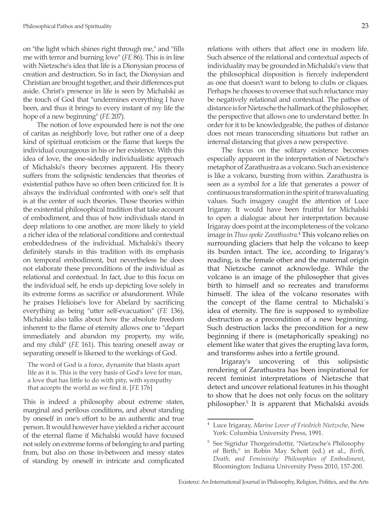on "the light which shines right through me," and "fills me with terror and burning love" (*FE* 86). This is in line with Nietzsche's idea that life is a Dionysian process of creation and destruction. So in fact, the Dionysian and Christian are brought together, and their differences put aside. Christ's presence in life is seen by Michalski as the touch of God that "undermines everything I have been, and thus it brings to every instant of my life the hope of a new beginning" (*FE* 207).

The notion of love expounded here is not the one of caritas as neighborly love, but rather one of a deep kind of spiritual eroticism or the flame that keeps the individual courageous in his or her existence. With this idea of love, the one-sidedly individualistic approach of Michalski's theory becomes apparent. His theory suffers from the solipsistic tendencies that theories of existential pathos have so often been criticized for. It is always the individual confronted with one's self that is at the center of such theories. Those theories within the existential philosophical tradition that take account of embodiment, and thus of how individuals stand in deep relations to one another, are more likely to yield a richer idea of the relational conditions and contextual embeddedness of the individual. Michalski's theory definitely stands in this tradition with its emphasis on temporal embodiment, but nevertheless he does not elaborate these preconditions of the individual as relational and contextual. In fact, due to this focus on the individual self, he ends up depicting love solely in its extreme forms as sacrifice or abandonment. While he praises Helioise's love for Abelard by sacrificing everything as being "utter self-evacuation" (*FE* 136), Michalski also talks about how the absolute freedom inherent to the flame of eternity allows one to "depart immediately and abandon my property, my wife, and my child" (*FE* 161). This tearing oneself away or separating oneself is likened to the workings of God.

The word of God is a force, dynamite that blasts apart life as it is. This is the very basis of God's love for man, a love that has little to do with pity, with sympathy that accepts the world as we find it. [*FE* 176]

This is indeed a philosophy about extreme states, marginal and perilous conditions, and about standing by oneself in one's effort to be an authentic and true person. It would however have yielded a richer account of the eternal flame if Michalski would have focused not solely on extreme forms of belonging to and parting from, but also on those in-between and messy states of standing by oneself in intricate and complicated relations with others that affect one in modern life. Such absence of the relational and contextual aspects of individuality may be grounded in Michalski's view that the philosophical disposition is fiercely independent as one that doesn't want to belong to clubs or cliques. Perhaps he chooses to oversee that such reluctance may be negatively relational and contextual. The pathos of distance is for Nietzsche the hallmark of the philosopher, the perspective that allows one to understand better. In order for it to be knowledgeable, the pathos of distance does not mean transcending situations but rather an internal distancing that gives a new perspective.

The focus on the solitary existence becomes especially apparent in the interpretation of Nietzsche's metaphor of Zarathustra as a volcano. Such an existence is like a volcano, bursting from within. Zarathustra is seen as a symbol for a life that generates a power of continuous transformation in the spirit of transvaluating values. Such imagery caught the attention of Luce Irigaray. It would have been fruitful for Michalski to open a dialogue about her interpretation because Irigaray does point at the incompleteness of the volcano image in *Thus spoke Zarathustra*. 4 This volcano relies on surrounding glaciers that help the volcano to keep its burden intact. The ice, according to Irigaray's reading, is the female other and the maternal origin that Nietzsche cannot acknowledge. While the volcano is an image of the philosopher that gives birth to himself and so recreates and transforms himself. The idea of the volcano resonates with the concept of the flame central to Michalski´s idea of eternity. The fire is supposed to symbolize destruction as a precondition of a new beginning. Such destruction lacks the precondition for a new beginning if there is (metaphorically speaking) no element like water that gives the erupting lava form, and transforms ashes into a fertile ground.

Irigaray's uncovering of this solipsistic rendering of Zarathustra has been inspirational for recent feminist interpretations of Nietzsche that detect and uncover relational features in his thought to show that he does not only focus on the solitary philosopher.<sup>5</sup> It is apparent that Michalski avoids

<sup>4</sup> Luce Irigaray, *Marine Lover of Friedrich Nietzsche*, New York: Columbia University Press, 1991.

<sup>5</sup> See Sigridur Thorgeirsdottir, "Nietzsche's Philosophy of Birth," in Robin May Schott (ed.) et al., *Birth, Death, and Femininity: Philosophies of Embodiment*, Bloomington: Indiana University Press 2010, 157-200.